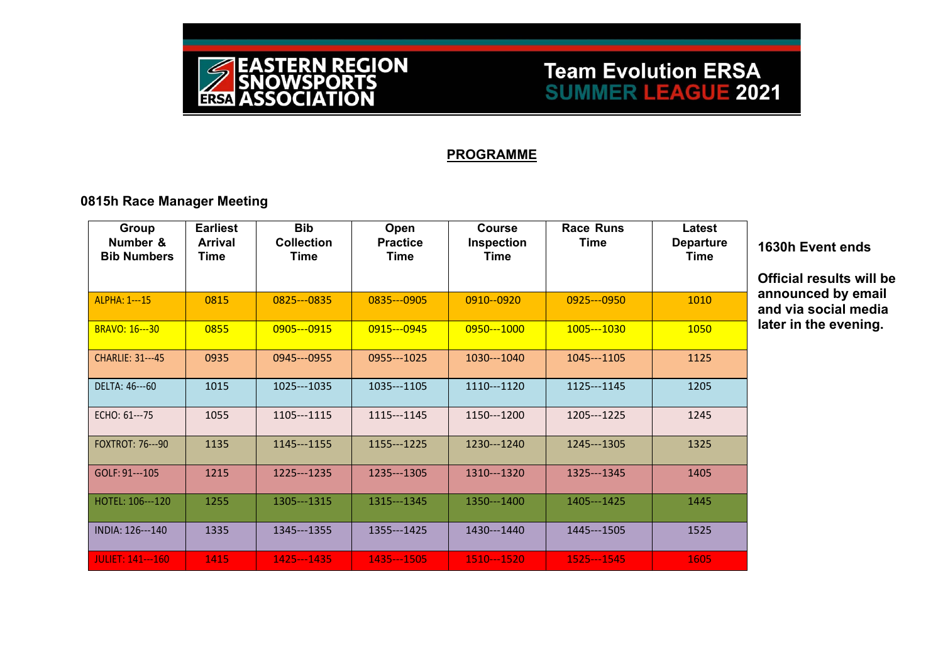

## **Team Evolution ERSA SUMMER LEAGUE 2021**

#### **PROGRAMME**

### **0815h Race Manager Meeting**

| Group<br>Number &<br><b>Bib Numbers</b> | <b>Earliest</b><br><b>Arrival</b><br>Time | <b>Bib</b><br><b>Collection</b><br><b>Time</b> | Open<br><b>Practice</b><br>Time | Course<br>Inspection<br>Time | <b>Race Runs</b><br><b>Time</b> | Latest<br><b>Departure</b><br>Time |
|-----------------------------------------|-------------------------------------------|------------------------------------------------|---------------------------------|------------------------------|---------------------------------|------------------------------------|
| ALPHA: 1---15                           | 0815                                      | 0825---0835                                    | 0835 -- 0905                    | 0910--0920                   | $0925--0950$                    | 1010                               |
| <b>BRAVO: 16---30</b>                   | 0855                                      | 0905---0915                                    | 0915---0945                     | 0950---1000                  | 1005---1030                     | 1050                               |
| <b>CHARLIE: 31---45</b>                 | 0935                                      | 0945 -- 0955                                   | 0955---1025                     | 1030---1040                  | 1045---1105                     | 1125                               |
| DELTA: 46---60                          | 1015                                      | 1025---1035                                    | 1035---1105                     | 1110---1120                  | 1125 -- 1145                    | 1205                               |
| ECHO: 61---75                           | 1055                                      | 1105---1115                                    | 1115---1145                     | 1150---1200                  | 1205---1225                     | 1245                               |
| <b>FOXTROT: 76---90</b>                 | 1135                                      | 1145 -- 1155                                   | 1155---1225                     | 1230---1240                  | 1245---1305                     | 1325                               |
| GOLF: 91---105                          | 1215                                      | 1225---1235                                    | 1235---1305                     | 1310---1320                  | 1325---1345                     | 1405                               |
| HOTEL: 106---120                        | 1255                                      | 1305---1315                                    | 1315---1345                     | 1350---1400                  | 1405---1425                     | 1445                               |
| INDIA: 126---140                        | 1335                                      | 1345---1355                                    | 1355---1425                     | 1430---1440                  | 1445 --- 1505                   | 1525                               |
| <b>JULIET: 141---160</b>                | 1415                                      | 1425--1435                                     | 1435 - - 1505                   | 1510---1520                  | 1525---1545                     | 1605                               |

#### **1630h Event ends**

**Official results will be a** and **a** by email **and via social media**  *<u>late</u>* in the evening.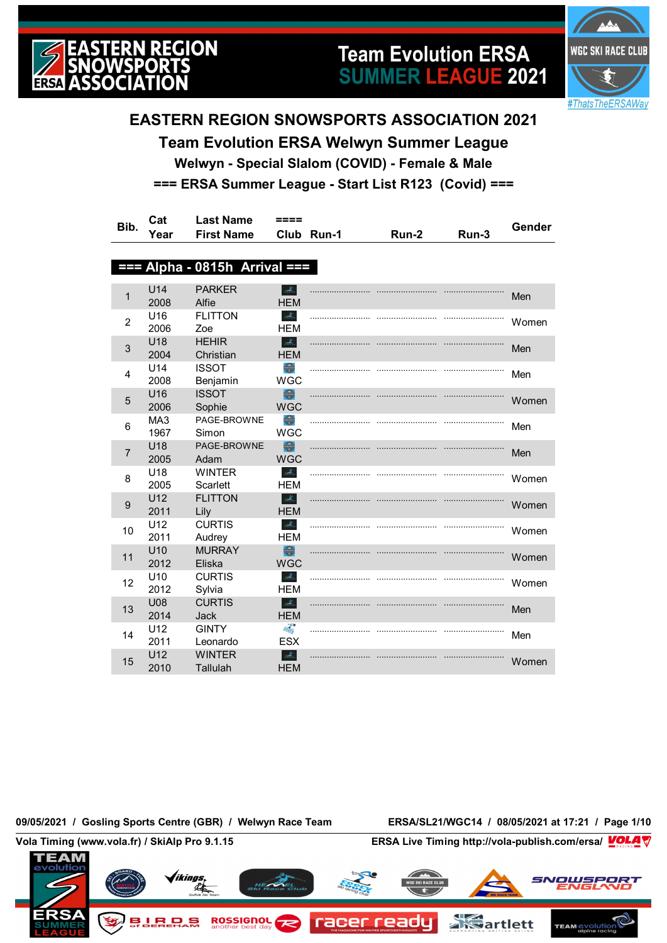

# **Team Evolution ERSA SUMMER LEAGUE 2021**



### **EASTERN REGION SNOWSPORTS ASSOCIATION 2021**

**Team Evolution ERSA Welwyn Summer League Welwyn - Special Slalom (COVID) - Female & Male === ERSA Summer League - Start List R123 (Covid) ===**

| Bib.           | Cat                     | <b>Last Name</b>                | ====                                                                                                        |            |       |       | Gender |
|----------------|-------------------------|---------------------------------|-------------------------------------------------------------------------------------------------------------|------------|-------|-------|--------|
|                | Year                    | <b>First Name</b>               |                                                                                                             | Club Run-1 | Run-2 | Run-3 |        |
|                |                         |                                 |                                                                                                             |            |       |       |        |
|                |                         | $==$ Alpha - 0815h Arrival $==$ |                                                                                                             |            |       |       |        |
| 1              | U14<br>2008             | <b>PARKER</b><br>Alfie          | $\mathcal{A}_\mathrm{b}$<br><b>HEM</b>                                                                      |            |       |       | Men    |
| $\overline{2}$ | U16<br>2006             | <b>FLITTON</b><br>Zoe           | $\mathcal{A}_{\mathbb{Z}}$<br><b>HEM</b>                                                                    |            |       |       | Women  |
| 3              | U18<br>2004             | <b>HEHIR</b><br>Christian       | $\mathcal{A}_n$<br><b>HEM</b>                                                                               |            |       |       | Men    |
| 4              | U14<br>2008             | <b>ISSOT</b><br>Benjamin        | $\begin{array}{c} \hline \hline \hline \hline \hline \hline \hline \hline \hline \end{array}$<br><b>WGC</b> |            |       |       | Men    |
| 5              | U16<br>2006             | <b>ISSOT</b><br>Sophie          | $\bigoplus$<br><b>WGC</b>                                                                                   |            |       |       | Women  |
| 6              | MA <sub>3</sub><br>1967 | PAGE-BROWNE<br>Simon            | €<br><b>WGC</b>                                                                                             |            |       |       | Men    |
| $\overline{7}$ | U18<br>2005             | PAGE-BROWNE<br>Adam             | €<br><b>WGC</b>                                                                                             |            |       |       | Men    |
| 8              | U <sub>18</sub><br>2005 | <b>WINTER</b><br>Scarlett       | $\frac{1}{2\sqrt{2}}\sum_{k=1}^n$<br><b>HEM</b>                                                             |            |       |       | Women  |
| 9              | U12<br>2011             | <b>FLITTON</b><br>Lily          | $\frac{1}{2} \sum_{\lambda \in \Lambda}$<br><b>HEM</b>                                                      |            |       |       | Women  |
| 10             | U12<br>2011             | <b>CURTIS</b><br>Audrey         | $\Delta_{\rm L}$<br><b>HEM</b>                                                                              |            |       |       | Women  |
| 11             | U10<br>2012             | <b>MURRAY</b><br>Eliska         | $\bigoplus$<br><b>WGC</b>                                                                                   |            |       |       | Women  |
| 12             | U10<br>2012             | <b>CURTIS</b><br>Sylvia         | $\Delta_{\rm L}$<br><b>HEM</b>                                                                              |            |       |       | Women  |
| 13             | <b>U08</b><br>2014      | <b>CURTIS</b><br><b>Jack</b>    | $\frac{d}{d\Delta t_{\rm{in}}}$<br><b>HFM</b>                                                               |            |       |       | Men    |
| 14             | U12<br>2011             | <b>GINTY</b><br>Leonardo        | <b>FREE</b><br><b>ESX</b>                                                                                   |            |       |       | Men    |
| 15             | U12<br>2010             | <b>WINTER</b><br>Tallulah       | $\Delta_{\rm L}$<br><b>HEM</b>                                                                              |            |       |       | Women  |

**09/05/2021 / Gosling Sports Centre (GBR) / Welwyn Race Team ERSA/SL21/WGC14 / 08/05/2021 at 17:21 / Page 1/10**

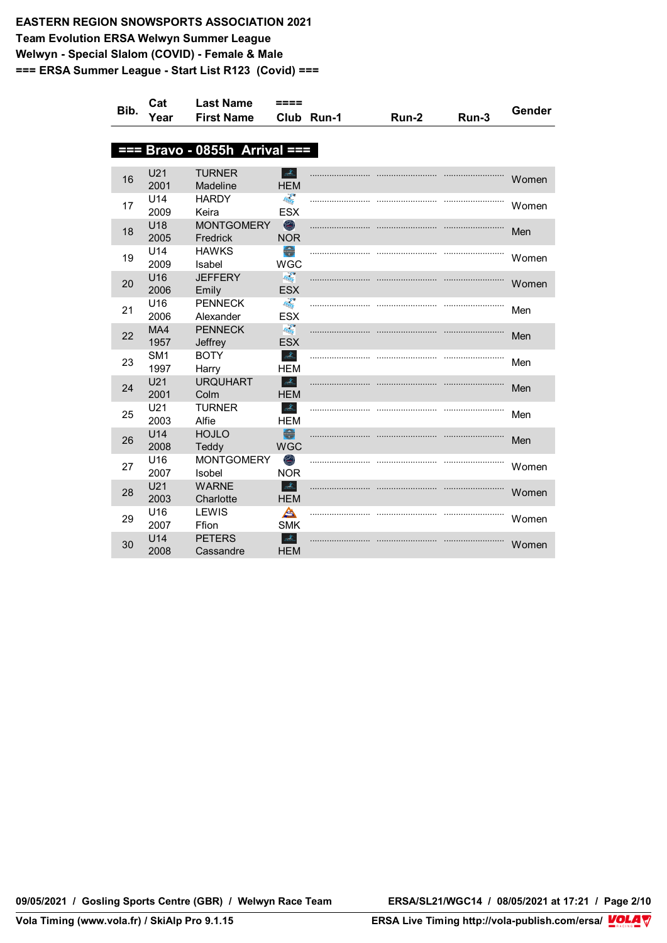| Bib. | Cat             | <b>Last Name</b>                 | ====                                              |            |       |       | Gender |
|------|-----------------|----------------------------------|---------------------------------------------------|------------|-------|-------|--------|
|      | Year            | <b>First Name</b>                |                                                   | Club Run-1 | Run-2 | Run-3 |        |
|      |                 |                                  |                                                   |            |       |       |        |
| Ŧ    |                 | <b>Bravo - 0855h Arrival ===</b> |                                                   |            |       |       |        |
|      |                 | <b>TURNER</b>                    | $\mathbb{E}$                                      |            |       |       |        |
| 16   | U21<br>2001     | Madeline                         | <b>HEM</b>                                        |            |       |       | Women  |
|      | U14             | <b>HARDY</b>                     | <b>FRAGE</b>                                      |            |       |       |        |
| 17   | 2009            | Keira                            | <b>ESX</b>                                        |            |       |       | Women  |
| 18   | U18             | <b>MONTGOMERY</b>                | $\odot$                                           |            |       |       | Men    |
|      | 2005            | Fredrick                         | <b>NOR</b>                                        |            |       |       |        |
| 19   | U14             | <b>HAWKS</b>                     | $\begin{array}{c} \bullet \\ \bullet \end{array}$ |            |       |       | Women  |
|      | 2009            | Isabel                           | <b>WGC</b>                                        |            |       |       |        |
| 20   | U16<br>2006     | <b>JEFFERY</b><br>Emily          | $\frac{1}{\log_{10}(\epsilon)}$<br><b>ESX</b>     |            |       |       | Women  |
|      | U16             | <b>PENNECK</b>                   | <b>FREE</b>                                       |            |       |       |        |
| 21   | 2006            | Alexander                        | <b>ESX</b>                                        |            |       |       | Men    |
|      | MA4             | <b>PENNECK</b>                   | <b>Registration</b>                               |            |       |       |        |
| 22   | 1957            | Jeffrey                          | <b>ESX</b>                                        |            |       |       | Men    |
| 23   | SM <sub>1</sub> | <b>BOTY</b>                      | $\mathcal{A}_\infty$                              |            |       |       | Men    |
|      | 1997            | Harry                            | HEM                                               |            |       |       |        |
| 24   | U21             | <b>URQUHART</b>                  | $\Delta \lambda$                                  |            |       |       | Men    |
|      | 2001<br>U21     | Colm<br><b>TURNER</b>            | <b>HEM</b><br>$\mathcal{A}_\omega$                |            |       |       |        |
| 25   | 2003            | Alfie                            | <b>HEM</b>                                        |            |       |       | Men    |
|      | U14             | <b>HOJLO</b>                     | $\bigoplus$                                       |            |       |       |        |
| 26   | 2008            | Teddy                            | <b>WGC</b>                                        |            |       |       | Men    |
| 27   | U16             | <b>MONTGOMERY</b>                | $\circledcirc$                                    |            |       |       | Women  |
|      | 2007            | Isobel                           | <b>NOR</b>                                        |            |       |       |        |
| 28   | U21             | <b>WARNE</b>                     | $\Delta_{\rm{th}}$                                |            |       |       | Women  |
|      | 2003            | Charlotte                        | <b>HEM</b>                                        |            |       |       |        |
| 29   | U16<br>2007     | LEWIS<br>Ffion                   | A<br><b>SMK</b>                                   |            |       |       | Women  |
|      | U14             | <b>PETERS</b>                    | $\mathcal{A}_\mathbb{Z}$                          |            |       |       |        |
| 30   | 2008            | Cassandre                        | <b>HEM</b>                                        |            |       |       | Women  |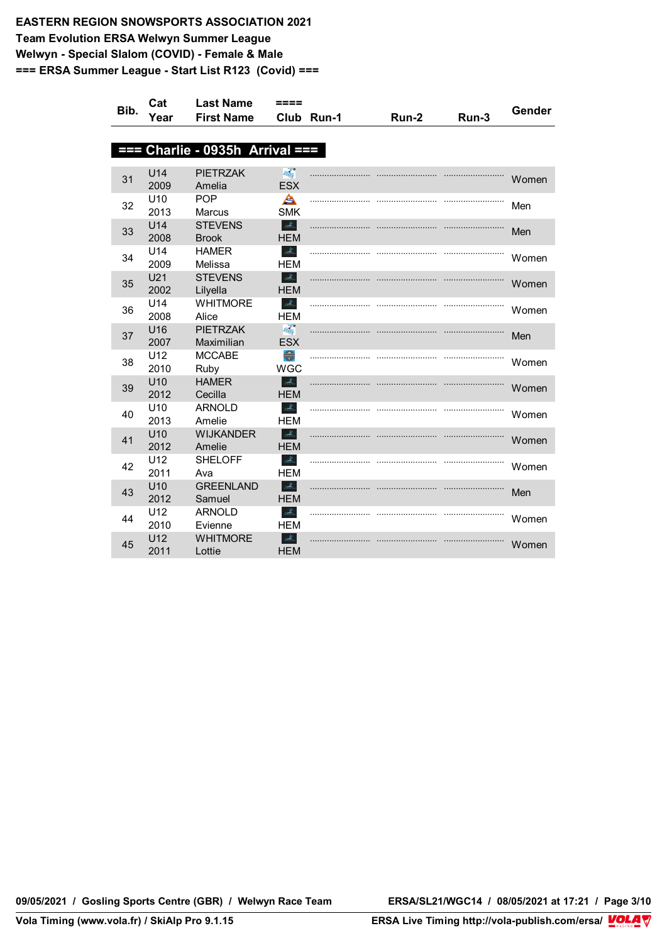| Bib. | Cat                     | <b>Last Name</b>            | ====                                         |            |       |       | Gender |
|------|-------------------------|-----------------------------|----------------------------------------------|------------|-------|-------|--------|
|      | Year                    | <b>First Name</b>           |                                              | Club Run-1 | Run-2 | Run-3 |        |
|      |                         |                             |                                              |            |       |       |        |
| ŦŦ   |                         | Charlie - 0935h Arrival === |                                              |            |       |       |        |
|      | U14                     | <b>PIETRZAK</b>             | <b>Registry</b>                              |            |       |       |        |
| 31   | 2009                    | Amelia                      | <b>ESX</b>                                   |            |       |       | Women  |
|      | U <sub>10</sub>         | <b>POP</b>                  | A                                            |            |       |       |        |
| 32   | 2013                    | <b>Marcus</b>               | <b>SMK</b>                                   |            |       |       | Men    |
| 33   | U14                     | <b>STEVENS</b>              | $\frac{d\mathcal{X}_n}{d\mathcal{X}_n}$      |            |       |       | Men    |
|      | 2008                    | <b>Brook</b>                | <b>HEM</b>                                   |            |       |       |        |
| 34   | U <sub>14</sub><br>2009 | <b>HAMER</b><br>Melissa     | $\mathcal{A}_{\mathbb{Z}}$<br><b>HEM</b>     |            |       |       | Women  |
|      | U21                     | <b>STEVENS</b>              | $\frac{1}{2\sqrt{N_{\rm{res}}}}$             |            |       |       |        |
| 35   | 2002                    | Lilyella                    | <b>HEM</b>                                   |            |       |       | Women  |
| 36   | U14                     | <b>WHITMORE</b>             | $\frac{1}{2} \sum_{\lambda \in \Lambda}$     |            |       |       | Women  |
|      | 2008                    | Alice                       | <b>HEM</b>                                   |            |       |       |        |
| 37   | U16                     | <b>PIETRZAK</b>             | $R_{\rm{H}\alpha}^{\rm{eff}}$                |            |       |       | Men    |
|      | 2007<br>U12             | Maximilian<br><b>MCCABE</b> | <b>ESX</b><br>$\blacksquare$                 |            |       |       |        |
| 38   | 2010                    | Ruby                        | <b>WGC</b>                                   |            |       |       | Women  |
|      | U10                     | <b>HAMER</b>                | $\Delta_{\rm{th}}$                           |            |       |       |        |
| 39   | 2012                    | Cecilla                     | <b>HEM</b>                                   |            |       |       | Women  |
| 40   | U10                     | <b>ARNOLD</b>               | $\mathcal{A}_{\mathbb{Z}}$                   |            |       |       | Women  |
|      | 2013                    | Amelie                      | <b>HEM</b>                                   |            |       |       |        |
| 41   | U10<br>2012             | <b>WIJKANDER</b><br>Amelie  | $\frac{d}{d\Delta_{\rm{res}}}$<br><b>HEM</b> |            |       |       | Women  |
|      | U12                     | <b>SHELOFF</b>              | $\Delta_{\rm L}$                             |            |       |       |        |
| 42   | 2011                    | Ava                         | <b>HEM</b>                                   |            |       |       | Women  |
| 43   | U10                     | <b>GREENLAND</b>            | $\Delta \omega$                              |            |       |       | Men    |
|      | 2012                    | Samuel                      | <b>HEM</b>                                   |            |       |       |        |
| 44   | U12                     | <b>ARNOLD</b>               | $\mathcal{A}_{\mathbb{Z}}$                   |            |       |       | Women  |
|      | 2010                    | Evienne                     | <b>HEM</b>                                   |            |       |       |        |
| 45   | U12<br>2011             | <b>WHITMORE</b><br>Lottie   | $\mathcal{A}_\mathbb{Z}$<br><b>HEM</b>       |            |       |       | Women  |
|      |                         |                             |                                              |            |       |       |        |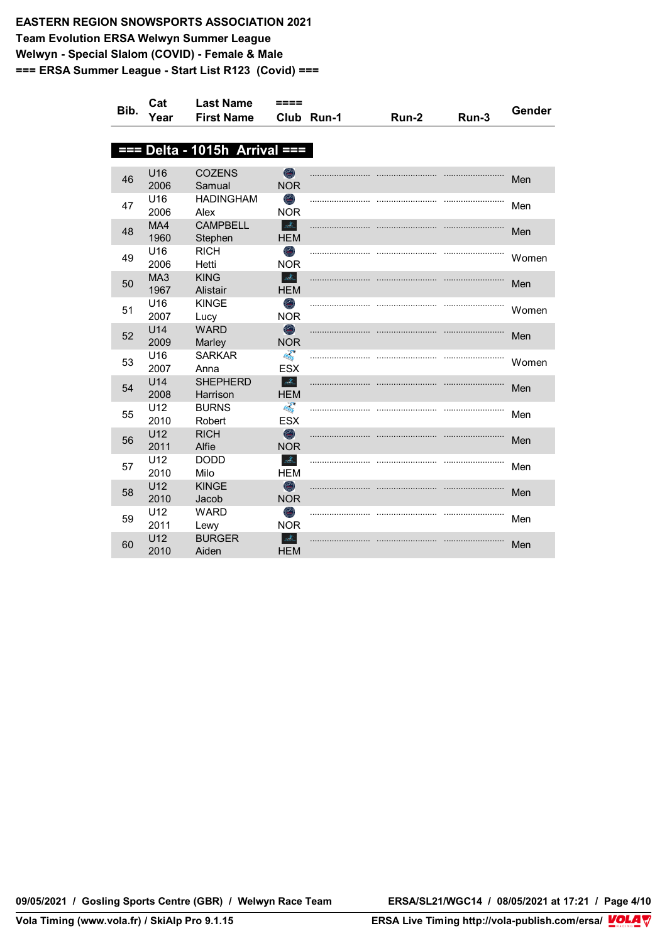| Bib. | Cat             | <b>Last Name</b>          | ====                                                                                                                                                                                                                                                                                                                                                                                                                                                                                                                                                                                                                                                                                                                                                                           |            |       |       | Gender |
|------|-----------------|---------------------------|--------------------------------------------------------------------------------------------------------------------------------------------------------------------------------------------------------------------------------------------------------------------------------------------------------------------------------------------------------------------------------------------------------------------------------------------------------------------------------------------------------------------------------------------------------------------------------------------------------------------------------------------------------------------------------------------------------------------------------------------------------------------------------|------------|-------|-------|--------|
|      | Year            | <b>First Name</b>         |                                                                                                                                                                                                                                                                                                                                                                                                                                                                                                                                                                                                                                                                                                                                                                                | Club Run-1 | Run-2 | Run-3 |        |
|      |                 |                           |                                                                                                                                                                                                                                                                                                                                                                                                                                                                                                                                                                                                                                                                                                                                                                                |            |       |       |        |
| 88 S |                 | Delta - 1015h Arrival === |                                                                                                                                                                                                                                                                                                                                                                                                                                                                                                                                                                                                                                                                                                                                                                                |            |       |       |        |
|      | U16             |                           |                                                                                                                                                                                                                                                                                                                                                                                                                                                                                                                                                                                                                                                                                                                                                                                |            |       |       |        |
| 46   | 2006            | <b>COZENS</b><br>Samual   | $\bigcirc$<br><b>NOR</b>                                                                                                                                                                                                                                                                                                                                                                                                                                                                                                                                                                                                                                                                                                                                                       |            |       |       | Men    |
|      | U <sub>16</sub> | <b>HADINGHAM</b>          | O)                                                                                                                                                                                                                                                                                                                                                                                                                                                                                                                                                                                                                                                                                                                                                                             |            |       |       |        |
| 47   | 2006            | Alex                      | <b>NOR</b>                                                                                                                                                                                                                                                                                                                                                                                                                                                                                                                                                                                                                                                                                                                                                                     |            |       |       | Men    |
| 48   | MA4             | <b>CAMPBELL</b>           | $\mathcal{A}_n$                                                                                                                                                                                                                                                                                                                                                                                                                                                                                                                                                                                                                                                                                                                                                                |            |       |       | Men    |
|      | 1960            | Stephen                   | <b>HEM</b>                                                                                                                                                                                                                                                                                                                                                                                                                                                                                                                                                                                                                                                                                                                                                                     |            |       |       |        |
| 49   | U16             | <b>RICH</b>               | O                                                                                                                                                                                                                                                                                                                                                                                                                                                                                                                                                                                                                                                                                                                                                                              |            |       |       | Women  |
|      | 2006            | Hetti                     | <b>NOR</b>                                                                                                                                                                                                                                                                                                                                                                                                                                                                                                                                                                                                                                                                                                                                                                     |            |       |       |        |
| 50   | MA3<br>1967     | <b>KING</b><br>Alistair   | $\frac{\partial}{\partial \overline{\partial} \overline{\partial} \overline{\partial} \overline{\partial} \overline{\partial} \overline{\partial} \overline{\partial} \overline{\partial} \overline{\partial} \overline{\partial} \overline{\partial} \overline{\partial} \overline{\partial} \overline{\partial} \overline{\partial} \overline{\partial} \overline{\partial} \overline{\partial} \overline{\partial} \overline{\partial} \overline{\partial} \overline{\partial} \overline{\partial} \overline{\partial} \overline{\partial} \overline{\partial} \overline{\partial} \overline{\partial} \overline{\partial} \overline{\partial} \overline{\partial} \overline{\partial} \overline{\partial} \overline{\partial} \overline{\partial} \overline$<br><b>HEM</b> |            |       |       | Men    |
|      | U <sub>16</sub> | <b>KINGE</b>              | O                                                                                                                                                                                                                                                                                                                                                                                                                                                                                                                                                                                                                                                                                                                                                                              |            |       |       |        |
| 51   | 2007            | Lucy                      | <b>NOR</b>                                                                                                                                                                                                                                                                                                                                                                                                                                                                                                                                                                                                                                                                                                                                                                     |            |       |       | Women  |
|      | U14             | <b>WARD</b>               | $\odot$                                                                                                                                                                                                                                                                                                                                                                                                                                                                                                                                                                                                                                                                                                                                                                        |            |       |       |        |
| 52   | 2009            | Marley                    | <b>NOR</b>                                                                                                                                                                                                                                                                                                                                                                                                                                                                                                                                                                                                                                                                                                                                                                     |            |       |       | Men    |
| 53   | U <sub>16</sub> | <b>SARKAR</b>             | <b>FREE</b>                                                                                                                                                                                                                                                                                                                                                                                                                                                                                                                                                                                                                                                                                                                                                                    |            |       |       | Women  |
|      | 2007            | Anna                      | <b>ESX</b>                                                                                                                                                                                                                                                                                                                                                                                                                                                                                                                                                                                                                                                                                                                                                                     |            |       |       |        |
| 54   | U14             | <b>SHEPHERD</b>           | $\Delta$                                                                                                                                                                                                                                                                                                                                                                                                                                                                                                                                                                                                                                                                                                                                                                       |            |       |       | Men    |
|      | 2008<br>U12     | Harrison<br><b>BURNS</b>  | <b>HEM</b><br><b>FEB</b>                                                                                                                                                                                                                                                                                                                                                                                                                                                                                                                                                                                                                                                                                                                                                       |            |       |       |        |
| 55   | 2010            | Robert                    | <b>ESX</b>                                                                                                                                                                                                                                                                                                                                                                                                                                                                                                                                                                                                                                                                                                                                                                     |            |       |       | Men    |
|      | U12             | <b>RICH</b>               | $\bigcirc$                                                                                                                                                                                                                                                                                                                                                                                                                                                                                                                                                                                                                                                                                                                                                                     |            |       |       |        |
| 56   | 2011            | Alfie                     | <b>NOR</b>                                                                                                                                                                                                                                                                                                                                                                                                                                                                                                                                                                                                                                                                                                                                                                     |            |       |       | Men    |
|      | U12             | <b>DODD</b>               | $\Delta_{\rm L}$                                                                                                                                                                                                                                                                                                                                                                                                                                                                                                                                                                                                                                                                                                                                                               |            |       |       | Men    |
| 57   | 2010            | Milo                      | <b>HEM</b>                                                                                                                                                                                                                                                                                                                                                                                                                                                                                                                                                                                                                                                                                                                                                                     |            |       |       |        |
| 58   | U12             | <b>KINGE</b>              | $\bigcirc$                                                                                                                                                                                                                                                                                                                                                                                                                                                                                                                                                                                                                                                                                                                                                                     |            |       |       | Men    |
|      | 2010            | Jacob                     | <b>NOR</b>                                                                                                                                                                                                                                                                                                                                                                                                                                                                                                                                                                                                                                                                                                                                                                     |            |       |       |        |
| 59   | U12             | <b>WARD</b>               | O)                                                                                                                                                                                                                                                                                                                                                                                                                                                                                                                                                                                                                                                                                                                                                                             |            |       |       | Men    |
|      | 2011            | Lewy                      | <b>NOR</b>                                                                                                                                                                                                                                                                                                                                                                                                                                                                                                                                                                                                                                                                                                                                                                     |            |       |       |        |
| 60   | U12<br>2010     | <b>BURGER</b><br>Aiden    | $\mathcal{A}_\text{L}$<br><b>HEM</b>                                                                                                                                                                                                                                                                                                                                                                                                                                                                                                                                                                                                                                                                                                                                           |            |       |       | Men    |
|      |                 |                           |                                                                                                                                                                                                                                                                                                                                                                                                                                                                                                                                                                                                                                                                                                                                                                                |            |       |       |        |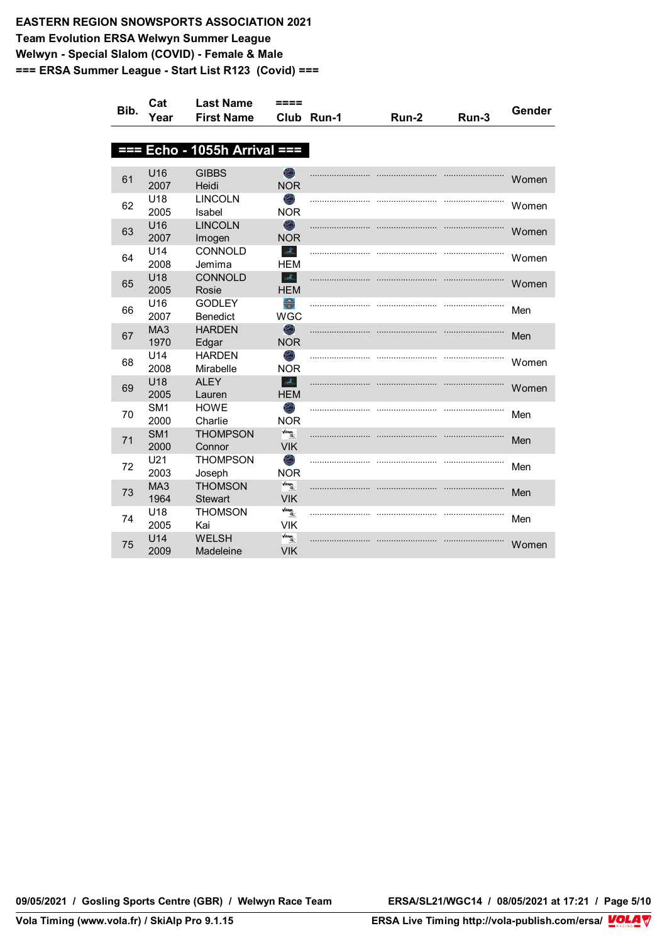| Bib. | Cat             | <b>Last Name</b>                 | ====                                              |       |       |       | Gender |
|------|-----------------|----------------------------------|---------------------------------------------------|-------|-------|-------|--------|
|      | Year            | <b>First Name</b>                | Club                                              | Run-1 | Run-2 | Run-3 |        |
|      |                 |                                  |                                                   |       |       |       |        |
| 333  |                 | Echo - 1055h Arrival ===         |                                                   |       |       |       |        |
|      | U16             | <b>GIBBS</b>                     | $\bigcirc$                                        |       |       |       |        |
| 61   | 2007            | Heidi                            | <b>NOR</b>                                        |       |       |       | Women  |
| 62   | U18             | <b>LINCOLN</b>                   | O)                                                |       |       |       | Women  |
|      | 2005            | Isabel                           | <b>NOR</b>                                        |       |       |       |        |
| 63   | U16             | <b>LINCOLN</b>                   | $\bigcirc$                                        |       |       |       | Women  |
|      | 2007            | Imogen                           | <b>NOR</b>                                        |       |       |       |        |
| 64   | U14<br>2008     | CONNOLD<br>Jemima                | $\frac{1}{2\sqrt{2}}\sum_{i=1}^{N}$<br><b>HEM</b> |       |       |       | Women  |
|      | U18             | <b>CONNOLD</b>                   | $\mathcal{A}_\mathbb{Z}$                          |       |       |       |        |
| 65   | 2005            | Rosie                            | <b>HEM</b>                                        |       |       |       | Women  |
| 66   | U16             | <b>GODLEY</b>                    | $\blacksquare$                                    |       |       |       | Men    |
|      | 2007            | Benedict                         | <b>WGC</b>                                        |       |       |       |        |
| 67   | MA3             | <b>HARDEN</b>                    | $\bullet$                                         |       |       |       | Men    |
|      | 1970            | Edgar                            | <b>NOR</b>                                        |       |       |       |        |
| 68   | U14             | <b>HARDEN</b>                    | O                                                 |       |       |       | Women  |
|      | 2008<br>U18     | Mirabelle<br><b>ALEY</b>         | <b>NOR</b><br>$\Delta$                            |       |       |       |        |
| 69   | 2005            | Lauren                           | <b>HEM</b>                                        |       |       |       | Women  |
|      | SM <sub>1</sub> | <b>HOWE</b>                      | ۸                                                 |       |       |       |        |
| 70   | 2000            | Charlie                          | <b>NOR</b>                                        |       |       |       | Men    |
| 71   | SM <sub>1</sub> | <b>THOMPSON</b>                  | $\sqrt{\text{lines}}$                             |       |       |       | Men    |
|      | 2000            | Connor                           | <b>VIK</b>                                        |       |       |       |        |
| 72   | U21             | <b>THOMPSON</b>                  | O                                                 |       |       |       | Men    |
|      | 2003            | Joseph                           | <b>NOR</b>                                        |       |       |       |        |
| 73   | MA3             | <b>THOMSON</b>                   | $\frac{1}{\sqrt{2}}$                              |       |       |       | Men    |
|      | 1964<br>U18     | <b>Stewart</b><br><b>THOMSON</b> | <b>VIK</b><br>$\sqrt{atings}$                     |       |       |       |        |
| 74   | 2005            | Kai                              | <b>VIK</b>                                        |       |       |       | Men    |
|      | U14             | <b>WELSH</b>                     | $\frac{1}{\sqrt{2}}$                              |       |       |       |        |
| 75   | 2009            | Madeleine                        | <b>VIK</b>                                        |       |       |       | Women  |
|      |                 |                                  |                                                   |       |       |       |        |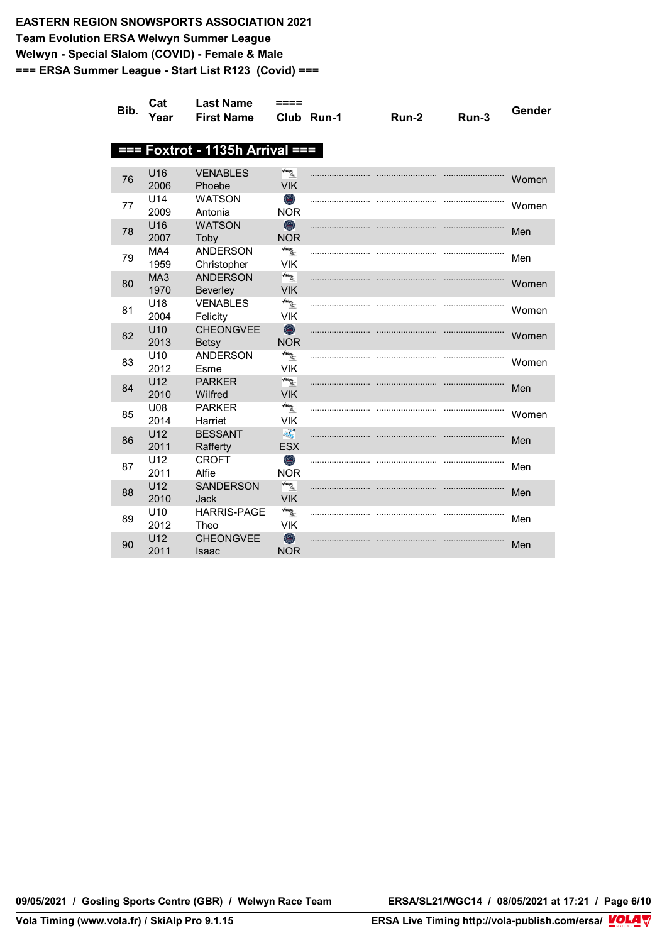| Bib. | Cat             | <b>Last Name</b>                | ====                                    |            |       |       | Gender |
|------|-----------------|---------------------------------|-----------------------------------------|------------|-------|-------|--------|
|      | Year            | <b>First Name</b>               |                                         | Club Run-1 | Run-2 | Run-3 |        |
|      |                 |                                 |                                         |            |       |       |        |
| --   |                 | Foxtrot - 1135h Arrival ===     |                                         |            |       |       |        |
|      |                 |                                 |                                         |            |       |       |        |
| 76   | U16<br>2006     | <b>VENABLES</b><br>Phoebe       | $\sqrt{100}$<br><b>VIK</b>              |            |       |       | Women  |
|      | U14             | <b>WATSON</b>                   | O)                                      |            |       |       |        |
| 77   | 2009            | Antonia                         | <b>NOR</b>                              |            |       |       | Women  |
|      | U16             | <b>WATSON</b>                   | $\bigcirc$                              |            |       |       |        |
| 78   | 2007            | Toby                            | <b>NOR</b>                              |            |       |       | Men    |
| 79   | MA4             | <b>ANDERSON</b>                 | $\sqrt{u}$ ings,                        |            |       |       | Men    |
|      | 1959            | Christopher                     | <b>VIK</b>                              |            |       |       |        |
| 80   | MA3             | <b>ANDERSON</b>                 | $\frac{\sqrt{days}}{4}$                 |            |       |       | Women  |
|      | 1970            | <b>Beverley</b>                 | <b>VIK</b>                              |            |       |       |        |
| 81   | U18             | <b>VENABLES</b>                 | $\sqrt{ikings}$                         |            |       |       | Women  |
|      | 2004            | Felicity                        | <b>VIK</b>                              |            |       |       |        |
| 82   | U10<br>2013     | <b>CHEONGVEE</b>                | $\bullet$<br><b>NOR</b>                 |            |       |       | Women  |
|      | U <sub>10</sub> | <b>Betsy</b><br><b>ANDERSON</b> | $\sqrt{2}$                              |            |       |       |        |
| 83   | 2012            | Esme                            | <b>VIK</b>                              |            |       |       | Women  |
|      | U12             | <b>PARKER</b>                   | $\sqrt{\mathit{atings}}$                |            |       |       |        |
| 84   | 2010            | Wilfred                         | <b>VIK</b>                              |            |       |       | Men    |
| 85   | U08             | <b>PARKER</b>                   | $\sqrt{atings}$                         |            |       |       | Women  |
|      | 2014            | Harriet                         | <b>VIK</b>                              |            |       |       |        |
| 86   | U12             | <b>BESSANT</b>                  | $\frac{\partial}{\partial x_{ij}}$      |            |       |       | Men    |
|      | 2011            | Rafferty                        | <b>ESX</b>                              |            |       |       |        |
| 87   | U12             | <b>CROFT</b>                    | O                                       |            |       |       | Men    |
|      | 2011            | Alfie                           | <b>NOR</b>                              |            |       |       |        |
| 88   | U12<br>2010     | <b>SANDERSON</b><br>Jack        | $\frac{\sqrt{atings}}{4}$<br><b>VIK</b> |            |       |       | Men    |
|      | U <sub>10</sub> | <b>HARRIS-PAGE</b>              | $\sqrt{ikings}$                         |            |       |       |        |
| 89   | 2012            | Theo                            | <b>VIK</b>                              |            |       |       | Men    |
|      | U12             | <b>CHEONGVEE</b>                | $\bullet$                               |            |       |       |        |
| 90   | 2011            | Isaac                           | <b>NOR</b>                              |            |       |       | Men    |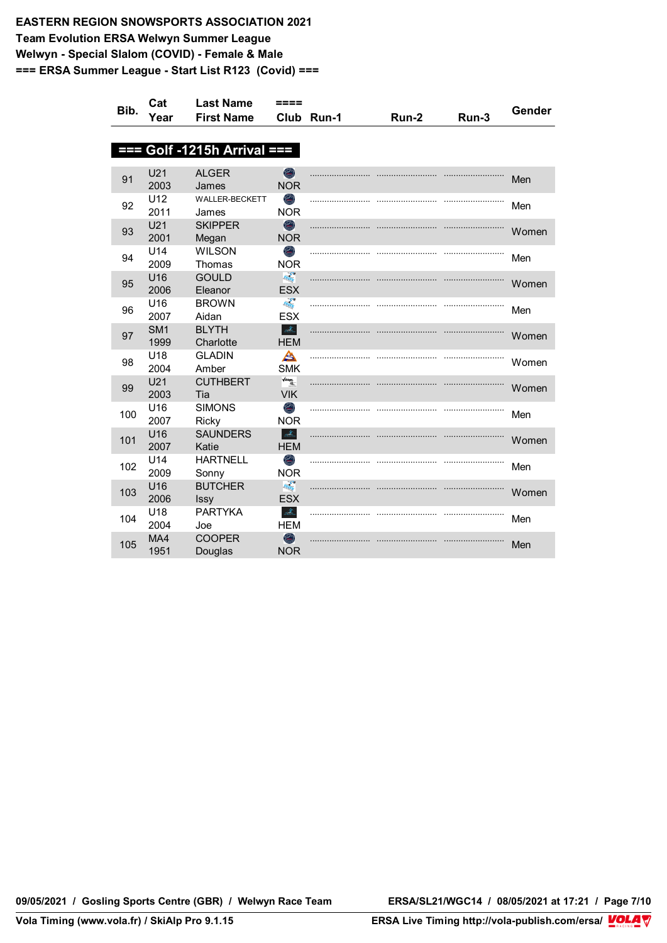| Bib. | Cat                     | <b>Last Name</b>              | ====                                 |            |       |       | Gender |
|------|-------------------------|-------------------------------|--------------------------------------|------------|-------|-------|--------|
|      | Year                    | <b>First Name</b>             |                                      | Club Run-1 | Run-2 | Run-3 |        |
|      |                         |                               |                                      |            |       |       |        |
|      |                         | $==$ Golf -1215h Arrival $==$ |                                      |            |       |       |        |
|      |                         |                               |                                      |            |       |       |        |
| 91   | U21<br>2003             | <b>ALGER</b><br>James         | O<br><b>NOR</b>                      |            |       |       | Men    |
| 92   | U12<br>2011             | WALLER-BECKETT<br>James       | ۸<br><b>NOR</b>                      |            |       |       | Men    |
| 93   | U21<br>2001             | <b>SKIPPER</b><br>Megan       | $\bigcirc$<br><b>NOR</b>             |            |       |       | Women  |
| 94   | U14<br>2009             | <b>WILSON</b><br>Thomas       | O<br><b>NOR</b>                      |            |       |       | Men    |
| 95   | U16<br>2006             | <b>GOULD</b><br>Eleanor       | $\overline{I_{\rm R}}$<br><b>ESX</b> |            |       |       | Women  |
| 96   | U <sub>16</sub><br>2007 | <b>BROWN</b><br>Aidan         | <b>FREE</b><br><b>ESX</b>            |            |       |       | Men    |
| 97   | SM <sub>1</sub><br>1999 | <b>BLYTH</b><br>Charlotte     | $\mathcal{A}_\infty$<br><b>HEM</b>   |            |       |       | Women  |
| 98   | U <sub>18</sub><br>2004 | <b>GLADIN</b><br>Amber        | A<br><b>SMK</b>                      |            |       |       | Women  |
| 99   | U21<br>2003             | <b>CUTHBERT</b><br>Tia        | $\frac{1}{\sqrt{2}}$<br><b>VIK</b>   |            |       |       | Women  |
| 100  | U <sub>16</sub><br>2007 | <b>SIMONS</b><br><b>Ricky</b> | ۸<br><b>NOR</b>                      |            |       |       | Men    |
| 101  | U16<br>2007             | <b>SAUNDERS</b><br>Katie      | $\Delta_{\rm{L}}$<br><b>HEM</b>      |            |       |       | Women  |
| 102  | U14<br>2009             | <b>HARTNELL</b><br>Sonny      | O<br><b>NOR</b>                      |            |       |       | Men    |
| 103  | U16<br>2006             | <b>BUTCHER</b><br><b>Issy</b> | $\epsilon_{\rm{exp}}$<br><b>ESX</b>  |            |       |       | Women  |
| 104  | U18<br>2004             | <b>PARTYKA</b><br>Joe         | $\Delta_{\rm{th}}$<br><b>HEM</b>     |            |       |       | Men    |
| 105  | MA4<br>1951             | <b>COOPER</b><br>Douglas      | $\bigcirc$<br><b>NOR</b>             |            |       |       | Men    |

**09/05/2021 / Gosling Sports Centre (GBR) / Welwyn Race Team ERSA/SL21/WGC14 / 08/05/2021 at 17:21 / Page 7/10**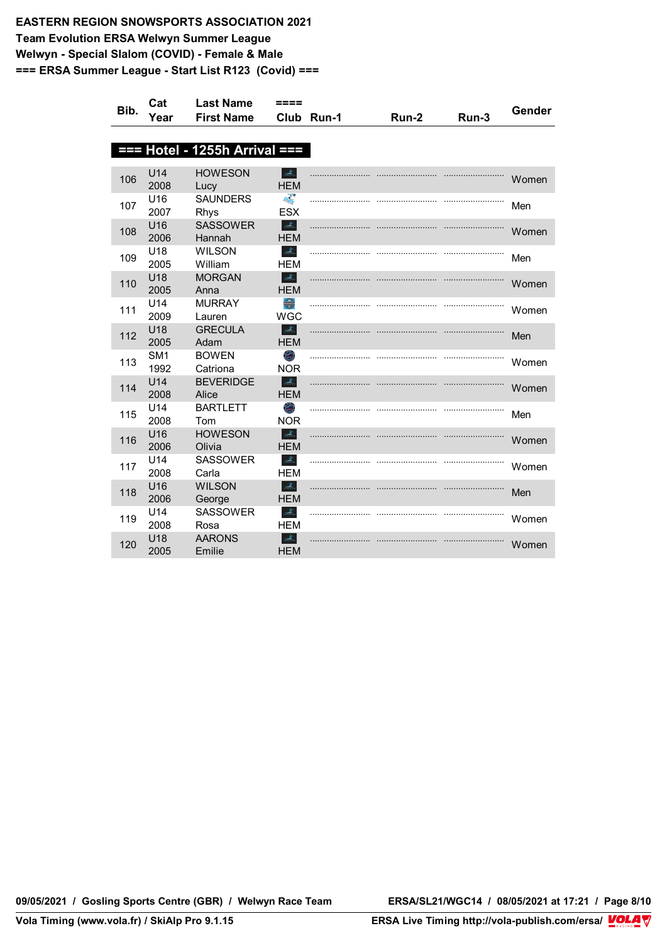| Bib. | Cat                     | <b>Last Name</b>                | ====                                                        |            |       |       | Gender |
|------|-------------------------|---------------------------------|-------------------------------------------------------------|------------|-------|-------|--------|
|      | Year                    | <b>First Name</b>               |                                                             | Club Run-1 | Run-2 | Run-3 |        |
|      |                         |                                 |                                                             |            |       |       |        |
|      |                         | $==$ Hotel - 1255h Arrival $==$ |                                                             |            |       |       |        |
|      | U14                     | <b>HOWESON</b>                  | $\mathcal{A}_\text{a}$                                      |            |       |       |        |
| 106  | 2008                    | Lucy                            | <b>HEM</b>                                                  |            |       |       | Women  |
| 107  | U16<br>2007             | <b>SAUNDERS</b><br>Rhys         | <b>FEB</b><br><b>ESX</b>                                    |            |       |       | Men    |
| 108  | U16<br>2006             | <b>SASSOWER</b><br>Hannah       | $\frac{d}{d\Omega_{\rm{in}}}$<br><b>HEM</b>                 |            |       |       | Women  |
| 109  | U18<br>2005             | <b>WILSON</b><br>William        | $\Delta_{\rm L}$<br><b>HEM</b>                              |            |       |       | Men    |
| 110  | U18<br>2005             | <b>MORGAN</b><br>Anna           | $\frac{\partial f_{\alpha}}{\partial \alpha}$<br><b>HEM</b> |            |       |       | Women  |
| 111  | U14<br>2009             | <b>MURRAY</b><br>Lauren         | €<br><b>WGC</b>                                             |            |       |       | Women  |
| 112  | U18<br>2005             | <b>GRECULA</b><br>Adam          | $\frac{1}{2} \sum_{i=1}^N$<br><b>HEM</b>                    |            |       |       | Men    |
| 113  | SM <sub>1</sub><br>1992 | <b>BOWEN</b><br>Catriona        | O<br><b>NOR</b>                                             |            |       |       | Women  |
| 114  | U14<br>2008             | <b>BEVERIDGE</b><br>Alice       | $\frac{1}{2} \sum_{\lambda \in \Lambda}$<br><b>HEM</b>      |            |       |       | Women  |
| 115  | U14<br>2008             | <b>BARTLETT</b><br>Tom          | ۸<br><b>NOR</b>                                             |            |       |       | Men    |
| 116  | U <sub>16</sub><br>2006 | <b>HOWESON</b><br>Olivia        | $\Delta_{\rm L}$<br><b>HEM</b>                              |            |       |       | Women  |
| 117  | U14<br>2008             | <b>SASSOWER</b><br>Carla        | $\Delta$<br><b>HEM</b>                                      |            |       |       | Women  |
| 118  | U16<br>2006             | <b>WILSON</b><br>George         | $\mathcal{A}_\mathbb{Z}$<br><b>HEM</b>                      |            |       |       | Men    |
| 119  | U <sub>14</sub><br>2008 | <b>SASSOWER</b><br>Rosa         | $\mathcal{A}_{\mathbb{Z}}$<br>HEM                           |            |       |       | Women  |
| 120  | U18<br>2005             | <b>AARONS</b><br>Emilie         | $\mathcal{A}_{\mathbb{Z}}$<br><b>HEM</b>                    |            |       |       | Women  |

**09/05/2021 / Gosling Sports Centre (GBR) / Welwyn Race Team ERSA/SL21/WGC14 / 08/05/2021 at 17:21 / Page 8/10**

<u>Volanda Volanda e</u>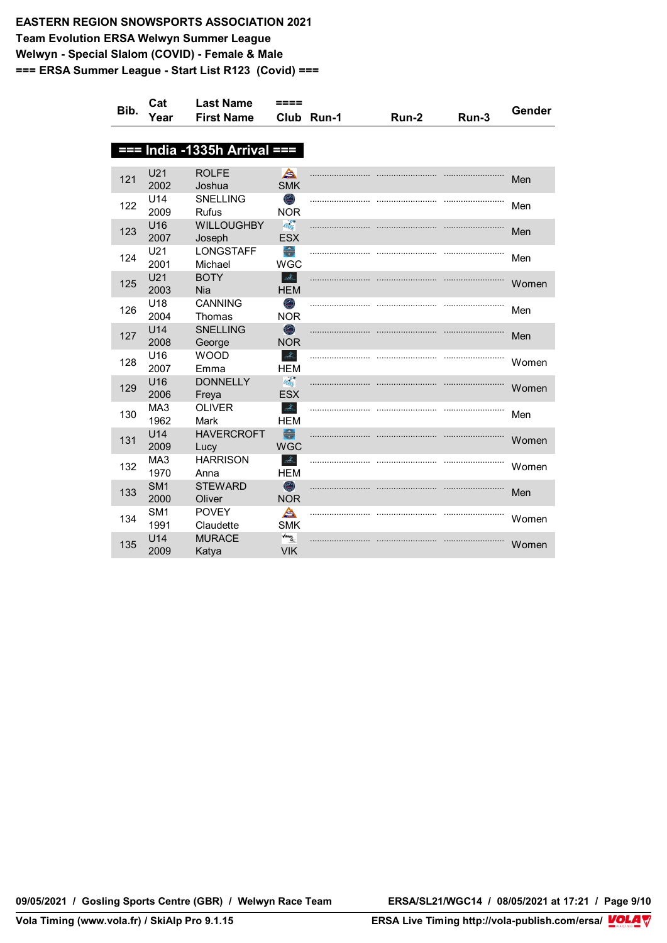| Bib. | Cat                     | <b>Last Name</b>                | ====                                                                          |            |       |       | Gender |
|------|-------------------------|---------------------------------|-------------------------------------------------------------------------------|------------|-------|-------|--------|
|      | Year                    | <b>First Name</b>               |                                                                               | Club Run-1 | Run-2 | Run-3 |        |
|      |                         |                                 |                                                                               |            |       |       |        |
|      |                         | $==$ India -1335h Arrival $==$  |                                                                               |            |       |       |        |
|      |                         |                                 |                                                                               |            |       |       |        |
| 121  | U21<br>2002             | <b>ROLFE</b><br>Joshua          | A<br><b>SMK</b>                                                               |            |       |       | Men    |
| 122  | U14<br>2009             | <b>SNELLING</b><br><b>Rufus</b> | O<br><b>NOR</b>                                                               |            |       |       | Men    |
| 123  | U16<br>2007             | <b>WILLOUGHBY</b><br>Joseph     | $\label{eq:Riccati} \overline{Ric_{Ric}}$<br><b>ESX</b>                       |            |       |       | Men    |
| 124  | U21<br>2001             | <b>LONGSTAFF</b><br>Michael     | $\begin{array}{c}\n\hline\n\hline\n\hline\n\hline\n\end{array}$<br><b>WGC</b> |            |       |       | Men    |
| 125  | U21<br>2003             | <b>BOTY</b><br>Nia              | $\mathcal{A}_{\mathbb{Z}}$<br><b>HEM</b>                                      |            |       |       | Women  |
| 126  | U18<br>2004             | <b>CANNING</b><br>Thomas        | O<br><b>NOR</b>                                                               |            |       |       | Men    |
| 127  | U14<br>2008             | <b>SNELLING</b><br>George       | $\bullet$<br><b>NOR</b>                                                       |            |       |       | Men    |
| 128  | U16<br>2007             | <b>WOOD</b><br>Emma             | $\frac{1}{2} \sum_{i=1}^n$<br>HEM                                             |            |       |       | Women  |
| 129  | U16<br>2006             | <b>DONNELLY</b><br>Freya        | $\frac{\partial}{\partial x_{\alpha}}$<br><b>ESX</b>                          |            |       |       | Women  |
| 130  | MA <sub>3</sub><br>1962 | <b>OLIVER</b><br>Mark           | $\mathcal{A}_\mathbb{Z}$<br><b>HEM</b>                                        |            |       |       | Men    |
| 131  | U <sub>14</sub><br>2009 | <b>HAVERCROFT</b><br>Lucy       | €<br><b>WGC</b>                                                               |            |       |       | Women  |
| 132  | MA3<br>1970             | <b>HARRISON</b><br>Anna         | $\Delta_{\rm L}$<br><b>HEM</b>                                                |            |       |       | Women  |
| 133  | SM <sub>1</sub><br>2000 | <b>STEWARD</b><br>Oliver        | $\bigcirc$<br><b>NOR</b>                                                      |            |       |       | Men    |
| 134  | SM <sub>1</sub><br>1991 | <b>POVEY</b><br>Claudette       | A<br><b>SMK</b>                                                               |            |       |       | Women  |
| 135  | U14<br>2009             | <b>MURACE</b><br>Katya          | $\frac{1}{\sqrt{2}}$<br><b>VIK</b>                                            |            |       |       | Women  |